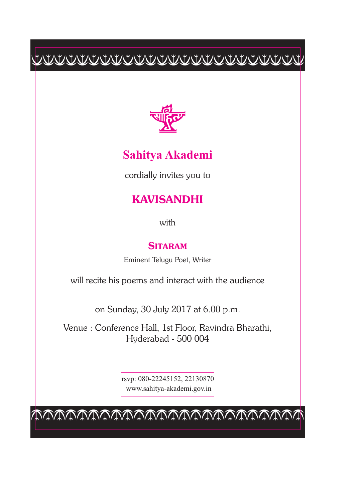$\frac{1}{2} \frac{1}{2} \frac{1}{2} \left( \frac{1}{2} \left( \frac{1}{2} \left( \frac{1}{2} \left( \frac{1}{2} \left( \frac{1}{2} \left( \frac{1}{2} \left( \frac{1}{2} \left( \frac{1}{2} \left( \frac{1}{2} \right) \left( \frac{1}{2} \left( \frac{1}{2} \right) \left( \frac{1}{2} \left( \frac{1}{2} \right) \left( \frac{1}{2} \right) \left( \frac{1}{2} \left( \frac{1}{2} \right) \left( \frac{1}{2} \right) \left( \frac{1}{2} \$ 



## **Sahitya Akademi**

cordially invites you to

## **KAVISANDHI**

with

## **SITARAM**

Eminent Telugu Poet, Writer

will recite his poems and interact with the audience

on Sunday, 30 July 2017 at 6.00 p.m.

Venue : Conference Hall, 1st Floor, Ravindra Bharathi, Hyderabad - 500 004

> rsvp: 080-22245152, 22130870 www.sahitya-akademi.gov.in

cccccccccccccccccccccccc